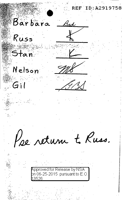ID:A29197 58 Barbara Brd Russ Stan Nelson  $G$ il Pae return te Russ. **Approved for Release by NSA** on 06-25-2015 pursuant to E.O. 3526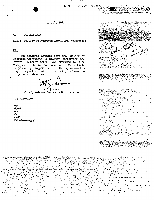$\frac{y}{45413}$ 

Straite and

## 13 July 1983

#### TO: DISTRIBUTION

Society of American Archivists Newsletter SUBJ:

## **FYI**

The attached article from the Society of American Archivists Newsletter concerning the Marshall Library matter was provided by Alan<br>Thompson at the National Archives. The article<br>is generally supportive of the government's right to protect national security information in private libraries.

JL LEVIN

Chief, Information Security Division

## DISTRIBUTION:

**DIR**  $D/DIR$  $C/S$ **GC DDPP** T54 SANNHOLD O<sub>4</sub>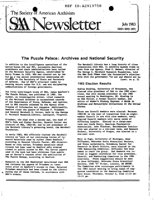

# **The Puzzle Palace: Archives and National Security**

In addition to the intelligence operations of the better-known· CIA and FBI, successive American presidents and their administrations have relied on the National Security Agency, established by Harry Truman in 1952. NSA was created not by law but by a top secret presidential memorandum addressed to the Secretary of State and Secretary of Defense. One of NSA's principal tasks is keeping secure codes for U.S. use and deciphering communications of foreign governments.

The first book-length study of NSA, James Bamford's *The Puaate Palace,* was published in 1982. The author, an investigative writer, cited research at the National Archives in accessioned records of the Departments of State, Defense, and Justice, and in NSA records released by the Agency after Freedom of Information Act requests. Additionally, Bamford cited the papers of William F. Friedman and General Marshall S. Carter., held by the George C. Marshall Research.Library, Lexington, Virginia.

Friedman, who died over a decade ago, was head of NSA's Code and Cipher Section. General Carter was director of NSA, 1965-69, and"is now president of the Marshall Library's governing board, the Marshall. Foundation.

In early 1983, NSA officials visited the Marshall Library as "part of our continuing review of research materials used by author James Bamford," according to General Lincoln Faurer, NSA director. Based on this review, Friedman materials which nJ.ready .had been used by Bamford were ordered closed to public access by NSA. The Carter papers used in the book had been withdrawn from public use at Carter's request after the publication of The Puzzle Palace, according to Bamford.

Research by the *SAA Newsletter* determined that NSA had reviewed the papers of Friedman at. least twice prior to Bamford's access to them. Selected Friedman materials had been closed by the Library during one of those reviews, in accordance with NSA's orders.

The Marshall Library has a long history of close cooperation with NSA. It exhibits museum items on loan from the Agency. Fred c. Hadsel, director of The George c. Marshall Research Foundation, told the *New York Times* that the foundation<sup>1</sup>s relationship with the government "is not and should not be (cont. on p. 2)

## 1983 Election Results

Andrea Hinding, University of Minnesota, was . elected vice president of SAA in the 1983 elections. She will become president at the 1984 annual meeting in Washington, DC. Hinding is an .SAA Fellow, a former Council member, and editor of Women's History Sources: A Guide to *Archives and Manuscripts Collections in the United States.* 

Three new Council members were elected. Because 1983-84 is the year of transition from an eightmember Council to one with nine members, newly elpcted Council members will serve terms of differing lengths. Elected to a three-year term was Linda Henry, American Psychiatric Association. John Fleckner, Smithsonian Institution was elected to a two-year term, and Kenneth Duckett, University nf Oregon, was elected to a one-year term.

 $\overline{\phantom{a}}$ 

**I** f ~ I

I<br>I de la propieta de la propieta de la propieta de la propieta de la propieta de la propieta de la propieta de<br>I de la propieta de la propieta de la propieta de la propieta de la propieta de la propieta de la propieta de

I

.Mary Jo Pugh, University of Michigan, Anne Diffendal, Nebraska State Historical Society, and.Diana Lachatanere, Schomburg Center for Research in Black Culture, were elected to the 1984 Nominating. Committee. Diffendal has been named to chair the group. SAA Members are invited to suggest candidates for vice president, Council, and Nominating Committee in the 1984 elections. Those suggestions should be sent to Anne Diffendal, Nebraska State Historical Society, 1500 "R" Street, Lincoln, NE 68508. The Committee also encourages participants in the 1983 annual meeting to bring names of suggested candidates to the Nominating Committee Open House, Thursday, October 6, from 11:15 am-12:lS pm.